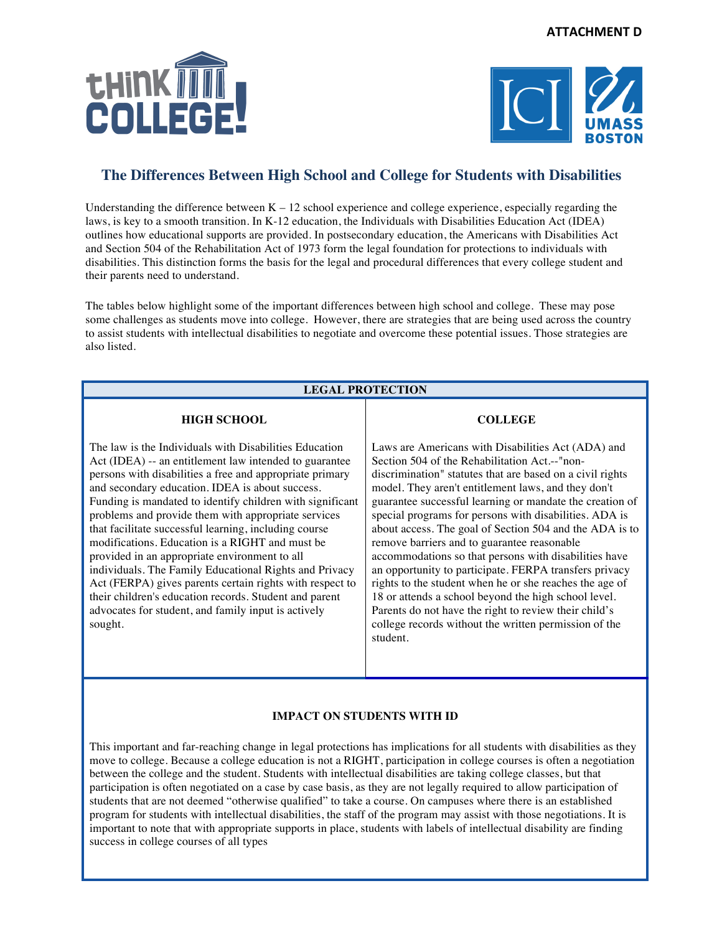



# **The Differences Between High School and College for Students with Disabilities**

Understanding the difference between  $K - 12$  school experience and college experience, especially regarding the laws, is key to a smooth transition. In K-12 education, the Individuals with Disabilities Education Act (IDEA) outlines how educational supports are provided. In postsecondary education, the Americans with Disabilities Act and Section 504 of the Rehabilitation Act of 1973 form the legal foundation for protections to individuals with disabilities. This distinction forms the basis for the legal and procedural differences that every college student and their parents need to understand.

The tables below highlight some of the important differences between high school and college. These may pose some challenges as students move into college. However, there are strategies that are being used across the country to assist students with intellectual disabilities to negotiate and overcome these potential issues. Those strategies are also listed.

# **LEGAL PROTECTION**

### **HIGH SCHOOL**

The law is the Individuals with Disabilities Education Act (IDEA) -- an entitlement law intended to guarantee persons with disabilities a free and appropriate primary and secondary education. IDEA is about success. Funding is mandated to identify children with significant problems and provide them with appropriate services that facilitate successful learning, including course modifications. Education is a RIGHT and must be provided in an appropriate environment to all individuals. The Family Educational Rights and Privacy Act (FERPA) gives parents certain rights with respect to their children's education records. Student and parent advocates for student, and family input is actively sought.

### **COLLEGE**

Laws are Americans with Disabilities Act (ADA) and Section 504 of the Rehabilitation Act.--"nondiscrimination" statutes that are based on a civil rights model. They aren't entitlement laws, and they don't guarantee successful learning or mandate the creation of special programs for persons with disabilities. ADA is about access. The goal of Section 504 and the ADA is to remove barriers and to guarantee reasonable accommodations so that persons with disabilities have an opportunity to participate. FERPA transfers privacy rights to the student when he or she reaches the age of 18 or attends a school beyond the high school level. Parents do not have the right to review their child's college records without the written permission of the student.

### **IMPACT ON STUDENTS WITH ID**

This important and far-reaching change in legal protections has implications for all students with disabilities as they move to college. Because a college education is not a RIGHT, participation in college courses is often a negotiation between the college and the student. Students with intellectual disabilities are taking college classes, but that participation is often negotiated on a case by case basis, as they are not legally required to allow participation of students that are not deemed "otherwise qualified" to take a course. On campuses where there is an established program for students with intellectual disabilities, the staff of the program may assist with those negotiations. It is important to note that with appropriate supports in place, students with labels of intellectual disability are finding success in college courses of all types